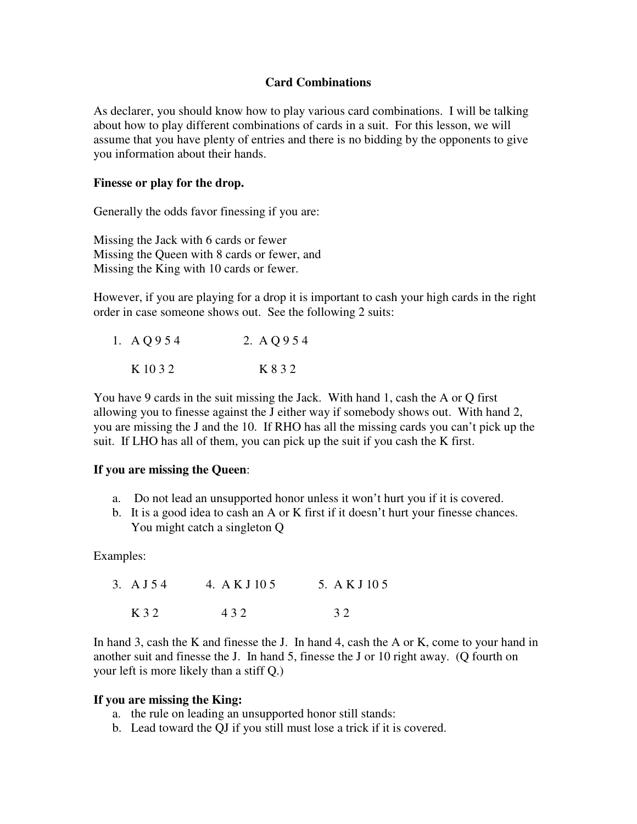# **Card Combinations**

As declarer, you should know how to play various card combinations. I will be talking about how to play different combinations of cards in a suit. For this lesson, we will assume that you have plenty of entries and there is no bidding by the opponents to give you information about their hands.

#### **Finesse or play for the drop.**

Generally the odds favor finessing if you are:

Missing the Jack with 6 cards or fewer Missing the Queen with 8 cards or fewer, and Missing the King with 10 cards or fewer.

However, if you are playing for a drop it is important to cash your high cards in the right order in case someone shows out. See the following 2 suits:

| 1. A Q 9 5 4 | 2. A Q 9 5 4 |
|--------------|--------------|
| K 10 3 2     | K 8 3 2      |

You have 9 cards in the suit missing the Jack. With hand 1, cash the A or Q first allowing you to finesse against the J either way if somebody shows out. With hand 2, you are missing the J and the 10. If RHO has all the missing cards you can't pick up the suit. If LHO has all of them, you can pick up the suit if you cash the K first.

# **If you are missing the Queen**:

- a. Do not lead an unsupported honor unless it won't hurt you if it is covered.
- b. It is a good idea to cash an A or K first if it doesn't hurt your finesse chances. You might catch a singleton Q

Examples:

| 3. A J 54 | 4. A K J 10 5 | 5. A K J 10 5 |
|-----------|---------------|---------------|
| K 3 2     | 432           | 32            |

In hand 3, cash the K and finesse the J. In hand 4, cash the A or K, come to your hand in another suit and finesse the J. In hand 5, finesse the J or 10 right away. (Q fourth on your left is more likely than a stiff Q.)

#### **If you are missing the King:**

- a. the rule on leading an unsupported honor still stands:
- b. Lead toward the QJ if you still must lose a trick if it is covered.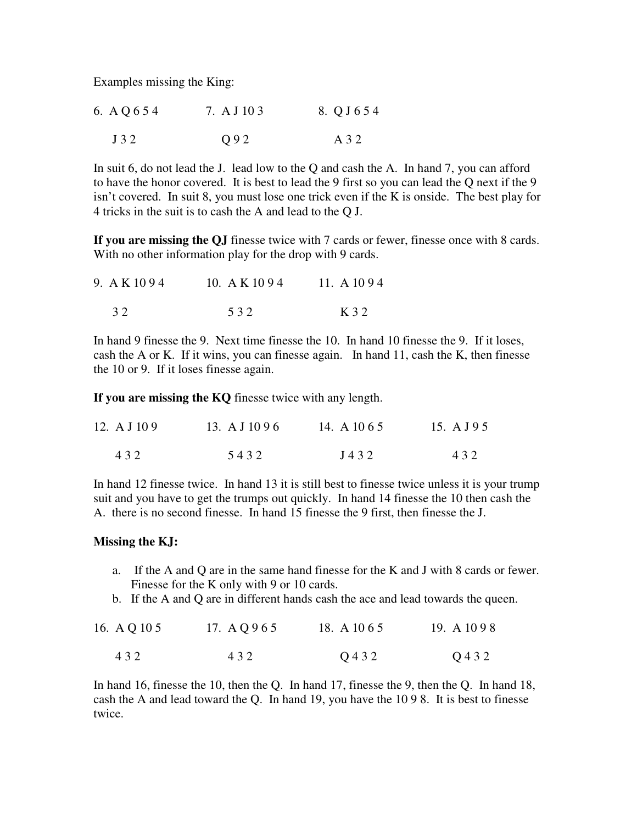Examples missing the King:

| 6. A Q 6 5 4 | 7. A J 10 3 | 8. Q J 6 5 4 |
|--------------|-------------|--------------|
| J32          | O 9 2       | A 3 2        |

In suit 6, do not lead the J. lead low to the Q and cash the A. In hand 7, you can afford to have the honor covered. It is best to lead the 9 first so you can lead the Q next if the 9 isn't covered. In suit 8, you must lose one trick even if the K is onside. The best play for 4 tricks in the suit is to cash the A and lead to the Q J.

**If you are missing the QJ** finesse twice with 7 cards or fewer, finesse once with 8 cards. With no other information play for the drop with 9 cards.

| 9. A K 1094 | 10. A K $1094$ | 11. A $1094$ |
|-------------|----------------|--------------|
| 32          | 532            | K 3 2        |

In hand 9 finesse the 9. Next time finesse the 10. In hand 10 finesse the 9. If it loses, cash the A or K. If it wins, you can finesse again. In hand 11, cash the K, then finesse the 10 or 9. If it loses finesse again.

**If you are missing the KQ** finesse twice with any length.

| 12. A J $109$ | 13. A J 10 9 6 | 14. A 10 6 5 | 15. A J 9 5 |
|---------------|----------------|--------------|-------------|
| 432           | 5432           | J432         | 432         |

In hand 12 finesse twice. In hand 13 it is still best to finesse twice unless it is your trump suit and you have to get the trumps out quickly. In hand 14 finesse the 10 then cash the A. there is no second finesse. In hand 15 finesse the 9 first, then finesse the J.

# **Missing the KJ:**

- a. If the A and Q are in the same hand finesse for the K and J with 8 cards or fewer. Finesse for the K only with 9 or 10 cards.
- b. If the A and Q are in different hands cash the ace and lead towards the queen.

| 16. A Q 10 5 | 17. A Q 9 6 5 | 18. A 10 6 5 | 19. A $1098$ |
|--------------|---------------|--------------|--------------|
| 432          | 432           | Q 4 3 2      | Q 4 3 2      |

In hand 16, finesse the 10, then the Q. In hand 17, finesse the 9, then the Q. In hand 18, cash the A and lead toward the Q. In hand 19, you have the 10 9 8. It is best to finesse twice.